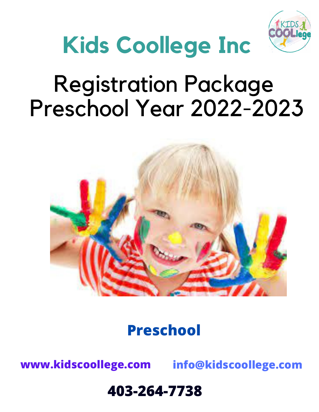

# **Kids Coollege Inc**

# Registration Package Preschool Year 2022-2023



### **Preschool**

**www.kidscoollege.com info@kidscoollege.com**

### **403-264-7738g**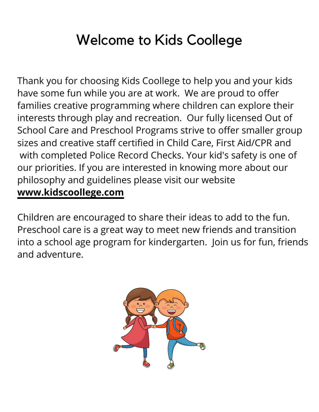## Welcome to Kids Coollege

Thank you for choosing Kids Coollege to help you and your kids have some fun while you are at work. We are proud to offer families creative programming where children can explore their interests through play and recreation. Our fully licensed Out of School Care and Preschool Programs strive to offer smaller group sizes and creative staff certified in Child Care, First Aid/CPR and with completed Police Record Checks. Your kid's safety is one of our priorities. If you are interested in knowing more about our philosophy and guidelines please visit our website **www.kidscoollege.com**

Children are encouraged to share their ideas to add to the fun. Preschool care is a great way to meet new friends and transition into a school age program for kindergarten. Join us for fun, friends and adventure.

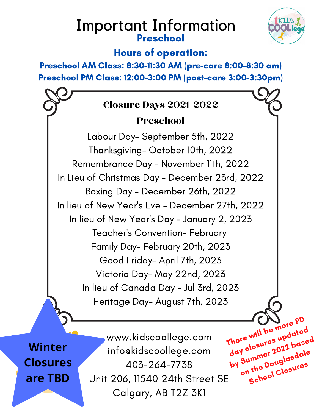### Important Information Preschool



There will be more PD

day closures updated

by Summer 2022 based

on the Douglasdale

School Closures

### Hours of operation:

Preschool AM Class: 8:30-11:30 AM (pre-care 8:00-8:30 am) Preschool PM Class: 12:00-3:00 PM (post-care 3:00-3:30pm)

### Closure Days 2021-2022

### Preschool

Labour Day- September 5th, 2022 Thanksgiving- October 10th, 2022 Remembrance Day - November 11th, 2022 In Lieu of Christmas Day - December 23rd, 2022 Boxing Day - December 26th, 2022 In lieu of New Year ' s Eve - December 27th, 2022 In lieu of New Year ' s Day - January 2, 2023 Teacher ' s Convention- February Family Day- February 20th, 2023 Good Friday- April 7th, 2023 Victoria Day- May 22nd, 2023 In lieu of Canada Day - Jul 3rd, 2023 Heritage Day- August 7th, 2023

**Winter Closures are TBD**

www.kidscoollege.com info@kidscoollege.com 403-264-7738 Unit 206, 11540 24th Street SE Calgary, AB T2Z 3K1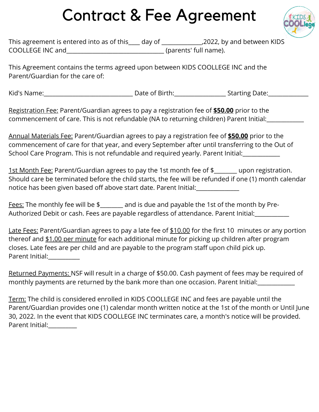## Contract & Fee Agreement



| This agreement is entered into as of this | day of | _,2022, by and between KIDS |
|-------------------------------------------|--------|-----------------------------|
| COOLLEGE INC and                          |        | (parents' full name).       |

This Agreement contains the terms agreed upon between KIDS COOLLEGE INC and the Parent/Guardian for the care of:

Kid's Name: The Contract of Birth: The Contract of Birth: The Contract Starting Date:

Registration Fee: Parent/Guardian agrees to pay a registration fee of **\$50.00** prior to the commencement of care. This is not refundable (NA to returning children) Parent Initial:

Annual Materials Fee: Parent/Guardian agrees to pay a registration fee of **\$50.00** prior to the commencement of care for that year, and every September after until transferring to the Out of School Care Program. This is not refundable and required yearly. Parent Initial:

1st Month Fee: Parent/Guardian agrees to pay the 1st month fee of \$ upon registration. Should care be terminated before the child starts, the fee will be refunded if one (1) month calendar notice has been given based off above start date. Parent Initial:\_\_\_\_\_\_\_\_\_\_\_\_\_\_\_

Fees: The monthly fee will be \$ and is due and payable the 1st of the month by Pre-Authorized Debit or cash. Fees are payable regardless of attendance. Parent Initial:

Late Fees: Parent/Guardian agrees to pay a late fee of \$10.00 for the first 10 minutes or any portion thereof and \$1.00 per minute for each additional minute for picking up children after program closes. Late fees are per child and are payable to the program staff upon child pick up. Parent Initial:\_\_\_\_\_\_\_\_\_\_\_

Returned Payments: NSF will result in a charge of \$50.00. Cash payment of fees may be required of monthly payments are returned by the bank more than one occasion. Parent Initial:

Term: The child is considered enrolled in KIDS COOLLEGE INC and fees are payable until the Parent/Guardian provides one (1) calendar month written notice at the 1st of the month or Until June 30, 2022. In the event that KIDS COOLLEGE INC terminates care, a month's notice will be provided. Parent Initial:\_\_\_\_\_\_\_\_\_\_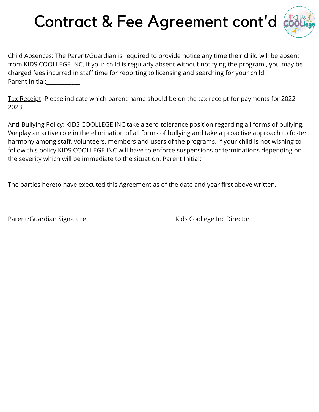## Contract & Fee Agreement cont'd



Child Absences: The Parent/Guardian is required to provide notice any time their child will be absent from KIDS COOLLEGE INC. If your child is regularly absent without notifying the program , you may be charged fees incurred in staff time for reporting to licensing and searching for your child. Parent Initial:

Tax Receipt: Please indicate which parent name should be on the tax receipt for payments for 2022- 2023\_\_\_\_\_\_\_\_\_\_\_\_\_\_\_\_\_\_\_\_\_\_\_\_\_\_\_\_\_\_\_\_\_\_\_\_\_\_\_\_\_\_\_\_\_\_\_\_\_\_\_\_\_\_\_\_\_

Anti-Bullying Policy: KIDS COOLLEGE INC take a zero-tolerance position regarding all forms of bullying. We play an active role in the elimination of all forms of bullying and take a proactive approach to foster harmony among staff, volunteers, members and users of the programs. If your child is not wishing to follow this policy KIDS COOLLEGE INC will have to enforce suspensions or terminations depending on the severity which will be immediate to the situation. Parent Initial:

The parties hereto have executed this Agreement as of the date and year first above written.

\_\_\_\_\_\_\_\_\_\_\_\_\_\_\_\_\_\_\_\_\_\_\_\_\_\_\_\_\_\_\_\_\_\_\_\_\_\_\_\_\_\_\_ \_\_\_\_\_\_\_\_\_\_\_\_\_\_\_\_\_\_\_\_\_\_\_\_\_\_\_\_\_\_\_\_\_\_\_\_\_\_\_

Parent/Guardian Signature **No. 2018** Kids Coollege Inc Director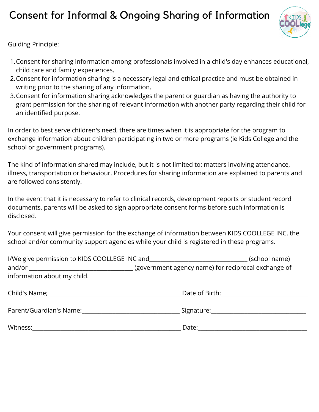### Consent for Informal & Ongoing Sharing of Information



Guiding Principle:

- Consent for sharing information among professionals involved in a child's day enhances educational, 1. child care and family experiences.
- 2. Consent for information sharing is a necessary legal and ethical practice and must be obtained in  $\,$ writing prior to the sharing of any information.
- 3. Consent for information sharing acknowledges the parent or guardian as having the authority to grant permission for the sharing of relevant information with another party regarding their child for an identified purpose.

In order to best serve children's need, there are times when it is appropriate for the program to exchange information about children participating in two or more programs (ie Kids College and the school or government programs).

The kind of information shared may include, but it is not limited to: matters involving attendance, illness, transportation or behaviour. Procedures for sharing information are explained to parents and are followed consistently.

In the event that it is necessary to refer to clinical records, development reports or student record documents. parents will be asked to sign appropriate consent forms before such information is disclosed.

Your consent will give permission for the exchange of information between KIDS COOLLEGE INC, the school and/or community support agencies while your child is registered in these programs.

| I/We give permission to KIDS COOLLEGE INC and <b>the contract of the contract of the contract of the contract of the contract of the contract of the contract of the contract of the contract of the contract of the contract of</b> |                                               | (school name) |
|--------------------------------------------------------------------------------------------------------------------------------------------------------------------------------------------------------------------------------------|-----------------------------------------------|---------------|
|                                                                                                                                                                                                                                      |                                               |               |
| information about my child.                                                                                                                                                                                                          |                                               |               |
|                                                                                                                                                                                                                                      | Date of Birth: <u>________________</u>        |               |
| Parent/Guardian's Name: Name: Name and Separate Separate Separate Separate Separate Separate Separate Separate S                                                                                                                     | Signature:___________________________________ |               |
| Witness:                                                                                                                                                                                                                             | Date:                                         |               |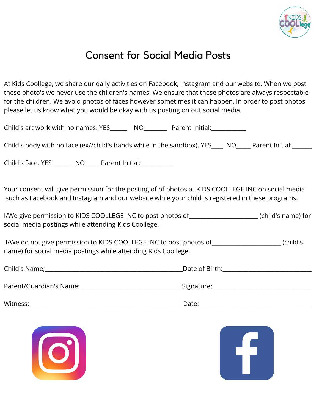

### Consent for Social Media Posts

At Kids Coollege, we share our daily activities on Facebook, Instagram and our website. When we post these photo's we never use the children's names. We ensure that these photos are always respectable for the children. We avoid photos of faces however sometimes it can happen. In order to post photos please let us know what you would be okay with us posting on out social media.

| Child's body with no face (ex//child's hands while in the sandbox). YES____ NO____ Parent Initial:______                                                                                                |  |  |  |  |
|---------------------------------------------------------------------------------------------------------------------------------------------------------------------------------------------------------|--|--|--|--|
| Child's face. YES_________ NO______ Parent Initial:_____________                                                                                                                                        |  |  |  |  |
| Your consent will give permission for the posting of of photos at KIDS COOLLEGE INC on social media<br>such as Facebook and Instagram and our website while your child is registered in these programs. |  |  |  |  |
| I/We give permission to KIDS COOLLEGE INC to post photos of _____________________ (child's name) for<br>social media postings while attending Kids Coollege.                                            |  |  |  |  |
| I/We do not give permission to KIDS COOLLEGE INC to post photos of _________________________________(child's<br>name) for social media postings while attending Kids Coollege.                          |  |  |  |  |
|                                                                                                                                                                                                         |  |  |  |  |
|                                                                                                                                                                                                         |  |  |  |  |
|                                                                                                                                                                                                         |  |  |  |  |



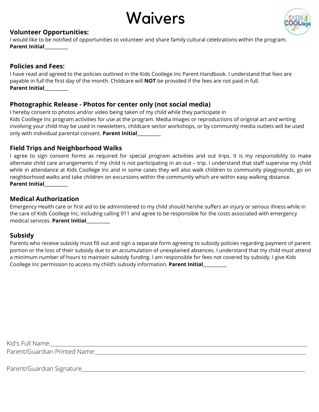



#### **Volunteer Opportunities:**

I would like to be notified of opportunities to volunteer and share family cultural celebrations within the program. **Parent Initial\_\_\_\_\_\_\_\_\_\_\_**

#### **Policies and Fees:**

I have read and agreed to the policies outlined in the Kids Coollege Inc Parent Handbook. I understand that fees are payable in full the first day of the month. Childcare will **NOT** be provided if the fees are not paid in full. **Parent Initial\_\_\_\_\_\_\_\_\_\_\_**

#### **Photographic Release - Photos for center only (not social media)**

I hereby consent to photos and/or video being taken of my child while they participate in Kids Coollege Inc program activities for use at the program. Media images or reproductions of original art and writing involving your child may be used in newsletters, childcare sector workshops, or by community media outlets will be used only with individual parental consent. **Parent Initial\_\_\_\_\_\_\_\_\_\_\_**

#### **Field Trips and Neighborhood Walks**

I agree to sign consent forms as required for special program activities and out trips. It is my responsibility to make alternate child care arrangements if my child is not participating in an out – trip. I understand that staff supervise my child while in attendance at Kids Coollege Inc and in some cases they will also walk children to community playgrounds, go on neighborhood walks and take children on excursions within the community which are within easy walking distance. **Parent Initial\_\_\_\_\_\_\_\_\_\_\_**

#### **Medical Authorization**

Emergency Health care or first aid to be administered to my child should he/she suffers an injury or serious illness while in the care of Kids Coollege Inc, including calling 911 and agree to be responsible for the costs associated with emergency medical services. **Parent Initial\_\_\_\_\_\_\_\_\_\_\_**

#### **Subsidy**

Parents who receive subsidy must fill out and sign a separate form agreeing to subsidy policies regarding payment of parent portion or the loss of their subsidy due to an accumulation of unexplained absences. I understand that my child must attend a minimum number of hours to maintain subsidy funding. I am responsible for fees not covered by subsidy. I give Kids Coollege Inc permission to access my child's subsidy information. **Parent Initial\_\_\_\_\_\_\_\_\_\_\_**

Kid's Full Name:\_\_\_\_\_\_\_\_\_\_\_\_\_\_\_\_\_\_\_\_\_\_\_\_\_\_\_\_\_\_\_\_\_\_\_\_\_\_\_\_\_\_\_\_\_\_\_\_\_\_\_\_\_\_\_\_\_\_\_\_\_\_\_\_\_\_\_\_\_\_\_\_\_\_\_\_\_\_\_\_\_\_\_\_\_\_\_\_\_\_\_\_\_\_\_\_\_\_\_\_ Parent/Guardian Printed Name:

Parent/Guardian Signature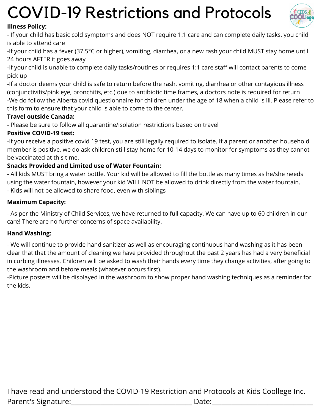## COVID-19 Restrictions and Protocols



#### **Illness Policy:**

- If your child has basic cold symptoms and does NOT require 1:1 care and can complete daily tasks, you child is able to attend care

-If your child has a fever (37.5°C or higher), vomiting, diarrhea, or a new rash your child MUST stay home until 24 hours AFTER it goes away

-If your child is unable to complete daily tasks/routines or requires 1:1 care staff will contact parents to come pick up

-If a doctor deems your child is safe to return before the rash, vomiting, diarrhea or other contagious illness (conjunctivitis/pink eye, bronchitis, etc.) due to antibiotic time frames, a doctors note is required for return -We do follow the Alberta covid questionnaire for children under the age of 18 when a child is ill. Please refer to this form to ensure that your child is able to come to the center.

#### **Travel outside Canada:**

- Please be sure to follow all quarantine/isolation restrictions based on travel

#### **Positive COVID-19 test:**

-If you receive a positive covid 19 test, you are still legally required to isolate. If a parent or another household member is positive, we do ask children still stay home for 10-14 days to monitor for symptoms as they cannot be vaccinated at this time.

#### **Snacks Provided and Limited use of Water Fountain:**

- All kids MUST bring a water bottle. Your kid will be allowed to fill the bottle as many times as he/she needs using the water fountain, however your kid WILL NOT be allowed to drink directly from the water fountain.

- Kids will not be allowed to share food, even with siblings

#### **Maximum Capacity:**

- As per the Ministry of Child Services, we have returned to full capacity. We can have up to 60 children in our care! There are no further concerns of space availability.

#### **Hand Washing:**

- We will continue to provide hand sanitizer as well as encouraging continuous hand washing as it has been clear that that the amount of cleaning we have provided throughout the past 2 years has had a very beneficial in curbing illnesses. Children will be asked to wash their hands every time they change activities, after going to the washroom and before meals (whatever occurs first).

-Picture posters will be displayed in the washroom to show proper hand washing techniques as a reminder for the kids.

I have read and understood the COVID-19 Restriction and Protocols at Kids Coollege Inc. Parent's Signature:\_\_\_\_\_\_\_\_\_\_\_\_\_\_\_\_\_\_\_\_\_\_\_\_\_\_\_\_\_\_\_\_\_\_\_\_\_ Date:\_\_\_\_\_\_\_\_\_\_\_\_\_\_\_\_\_\_\_\_\_\_\_\_\_\_\_\_\_\_\_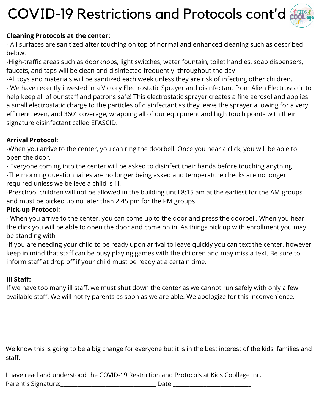## COVID-19 Restrictions and Protocols cont'd



#### **Cleaning Protocols at the center:**

- All surfaces are sanitized after touching on top of normal and enhanced cleaning such as described below.

-High-traffic areas such as doorknobs, light switches, water fountain, toilet handles, soap dispensers, faucets, and taps will be clean and disinfected frequently throughout the day

-All toys and materials will be sanitized each week unless they are risk of infecting other children.

- We have recently invested in a Victory Electrostatic Sprayer and disinfectant from Alien Electrostatic to help keep all of our staff and patrons safe! This electrostatic sprayer creates a fine aerosol and applies a small electrostatic charge to the particles of disinfectant as they leave the sprayer allowing for a very efficient, even, and 360° coverage, wrapping all of our equipment and high touch points with their signature disinfectant called EFASCID.

#### **Arrival Protocol:**

-When you arrive to the center, you can ring the doorbell. Once you hear a click, you will be able to open the door.

- Everyone coming into the center will be asked to disinfect their hands before touching anything.

-The morning questionnaires are no longer being asked and temperature checks are no longer required unless we believe a child is ill.

-Preschool children will not be allowed in the building until 8:15 am at the earliest for the AM groups and must be picked up no later than 2:45 pm for the PM groups

#### **Pick-up Protocol:**

- When you arrive to the center, you can come up to the door and press the doorbell. When you hear the click you will be able to open the door and come on in. As things pick up with enrollment you may be standing with

-If you are needing your child to be ready upon arrival to leave quickly you can text the center, however keep in mind that staff can be busy playing games with the children and may miss a text. Be sure to inform staff at drop off if your child must be ready at a certain time.

#### **Ill Staff:**

If we have too many ill staff, we must shut down the center as we cannot run safely with only a few available staff. We will notify parents as soon as we are able. We apologize for this inconvenience.

We know this is going to be a big change for everyone but it is in the best interest of the kids, families and staff.

I have read and understood the COVID-19 Restriction and Protocols at Kids Coollege Inc.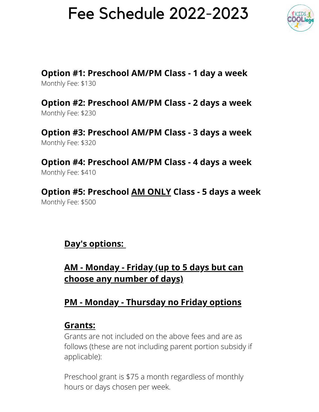## Fee Schedule 2022-2023



**Option #1: Preschool AM/PM Class - 1 day a week** Monthly Fee: \$130

**Option #2: Preschool AM/PM Class - 2 days a week** Monthly Fee: \$230

**Option #3: Preschool AM/PM Class - 3 days a week** Monthly Fee: \$320

**Option #4: Preschool AM/PM Class - 4 days a week** Monthly Fee: \$410

**Option #5: Preschool AM ONLY Class - 5 days a week** Monthly Fee: \$500

### **Day's options:**

### **AM - Monday - Friday (up to 5 days but can choose any number of days)**

### **PM - Monday - Thursday no Friday options**

### **Grants:**

Grants are not included on the above fees and are as follows (these are not including parent portion subsidy if applicable):

Preschool grant is \$75 a month regardless of monthly hours or days chosen per week.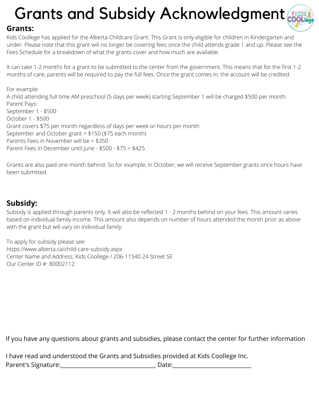## Grants and Subsidy Acknowledgment



#### **Grants:**

Kids Coollege has applied for the Alberta Childcare Grant. This Grant is only eligible for children in Kindergarten and under. Please note that this grant will no longer be covering fees once the child attends grade 1 and up. Please see the Fees Schedule for a breakdown of what the grants cover and how much are available.

It can take 1-2 months for a grant to be submitted to the center from the government. This means that for the first 1-2 months of care, parents will be required to pay the full fees. Once the grant comes in, the account will be credited.

For example:

A child attending full time AM preschool (5 days per week) starting September 1 will be charged \$500 per month. Parent Pays: September 1 - \$500 October 1 - \$500 Grant covers \$75 per month regardless of days per week or hours per month September and October grant = \$150 (\$75 each month) Parents Fees in November will be = \$350 Parent Fees in December until June - \$500 - \$75 = \$425

Grants are also paid one month behind. So for example, in October, we will receive September grants once hours have been submitted.

#### **Subsidy:**

Subsidy is applied through parents only. It will also be reflected 1 - 2 months behind on your fees. This amount varies based on individual family income. This amount also depends on number of hours attended the month prior as above with the grant but will vary on individual family.

To apply for subsidy please see: https://www.alberta.ca/child-care-subsidy.aspx Center Name and Address: Kids Coollege / 206-11540 24 Street SE Our Center ID #: 80002112

If you have any questions about grants and subsidies, please contact the center for further information

|                      | I have read and understood the Grants and Subsidies provided at Kids Coollege Inc. |
|----------------------|------------------------------------------------------------------------------------|
| Parent's Signature:_ | Date:                                                                              |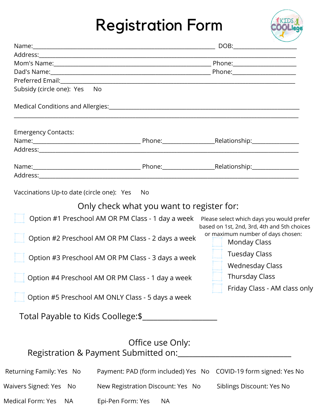## Registration Form



| Subsidy (circle one): Yes No   |                                                                                                                                                                                                                    |                                                                                                                                                                                                                                                                 |
|--------------------------------|--------------------------------------------------------------------------------------------------------------------------------------------------------------------------------------------------------------------|-----------------------------------------------------------------------------------------------------------------------------------------------------------------------------------------------------------------------------------------------------------------|
|                                | Medical Conditions and Allergies: Manual Allergies: Manual Allergies and Allergies: Manual Allergies and Allergies:                                                                                                |                                                                                                                                                                                                                                                                 |
| <b>Emergency Contacts:</b>     |                                                                                                                                                                                                                    |                                                                                                                                                                                                                                                                 |
|                                |                                                                                                                                                                                                                    |                                                                                                                                                                                                                                                                 |
|                                |                                                                                                                                                                                                                    |                                                                                                                                                                                                                                                                 |
|                                |                                                                                                                                                                                                                    |                                                                                                                                                                                                                                                                 |
|                                |                                                                                                                                                                                                                    |                                                                                                                                                                                                                                                                 |
|                                | Option #1 Preschool AM OR PM Class - 1 day a week<br>Option #2 Preschool AM OR PM Class - 2 days a week<br>Option #3 Preschool AM OR PM Class - 3 days a week<br>Option #4 Preschool AM OR PM Class - 1 day a week | Please select which days you would prefer<br>based on 1st, 2nd, 3rd, 4th and 5th choices<br>or maximum number of days chosen:<br><b>Monday Class</b><br><b>Tuesday Class</b><br><b>Wednesday Class</b><br><b>Thursday Class</b><br>Friday Class - AM class only |
|                                | Option #5 Preschool AM ONLY Class - 5 days a week<br>Total Payable to Kids Coollege: \$                                                                                                                            |                                                                                                                                                                                                                                                                 |
|                                | Office use Only:<br>Registration & Payment Submitted on:                                                                                                                                                           |                                                                                                                                                                                                                                                                 |
| Returning Family: Yes No       |                                                                                                                                                                                                                    | Payment: PAD (form included) Yes No COVID-19 form signed: Yes No                                                                                                                                                                                                |
| Waivers Signed: Yes No         | New Registration Discount: Yes No                                                                                                                                                                                  | Siblings Discount: Yes No                                                                                                                                                                                                                                       |
| Medical Form: Yes<br><b>NA</b> | Epi-Pen Form: Yes<br><b>NA</b>                                                                                                                                                                                     |                                                                                                                                                                                                                                                                 |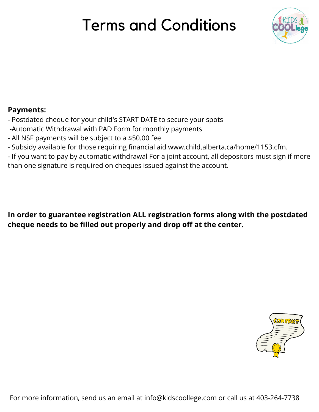## Terms and Conditions



#### **Payments:**

- Postdated cheque for your child's START DATE to secure your spots
- -Automatic Withdrawal with PAD Form for monthly payments
- All NSF payments will be subject to a \$50.00 fee
- Subsidy available for those requiring financial aid www.child.alberta.ca/home/1153.cfm.
- If you want to pay by automatic withdrawal For a joint account, all depositors must sign if more than one signature is required on cheques issued against the account.

**In order to guarantee registration ALL registration forms along with the postdated cheque needs to be filled out properly and drop off at the center.**

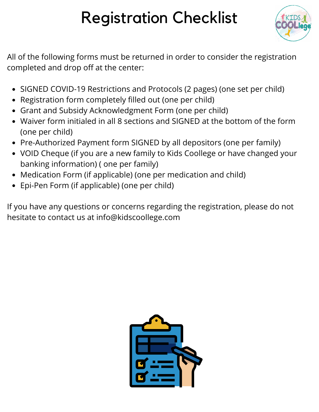## Registration Checklist



All of the following forms must be returned in order to consider the registration completed and drop off at the center:

- SIGNED COVID-19 Restrictions and Protocols (2 pages) (one set per child)
- Registration form completely filled out (one per child)
- Grant and Subsidy Acknowledgment Form (one per child)
- Waiver form initialed in all 8 sections and SIGNED at the bottom of the form (one per child)
- Pre-Authorized Payment form SIGNED by all depositors (one per family)
- VOID Cheque (if you are a new family to Kids Coollege or have changed your banking information) ( one per family)
- Medication Form (if applicable) (one per medication and child)
- Epi-Pen Form (if applicable) (one per child)

If you have any questions or concerns regarding the registration, please do not hesitate to contact us at info@kidscoollege.com